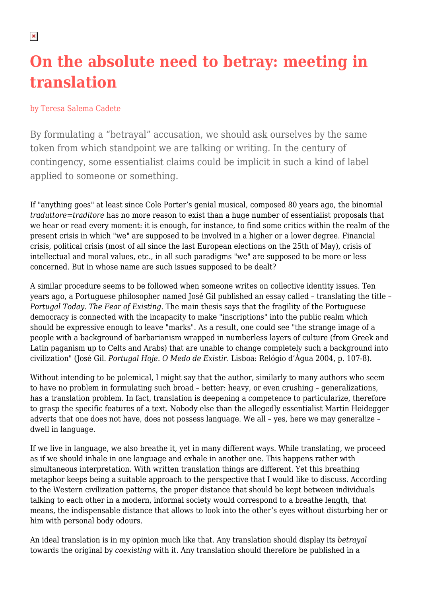## **On the absolute need to betray: meeting in translation**

## by Teresa Salema Cadete

By formulating a "betrayal" accusation, we should ask ourselves by the same token from which standpoint we are talking or writing. In the century of contingency, some essentialist claims could be implicit in such a kind of label applied to someone or something.

If "anything goes" at least since Cole Porter's genial musical, composed 80 years ago, the binomial *traduttore=traditore* has no more reason to exist than a huge number of essentialist proposals that we hear or read every moment: it is enough, for instance, to find some critics within the realm of the present crisis in which "we" are supposed to be involved in a higher or a lower degree. Financial crisis, political crisis (most of all since the last European elections on the 25th of May), crisis of intellectual and moral values, etc., in all such paradigms "we" are supposed to be more or less concerned. But in whose name are such issues supposed to be dealt?

A similar procedure seems to be followed when someone writes on collective identity issues. Ten years ago, a Portuguese philosopher named José Gil published an essay called – translating the title – *Portugal Today. The Fear of Existing*. The main thesis says that the fragility of the Portuguese democracy is connected with the incapacity to make "inscriptions" into the public realm which should be expressive enough to leave "marks". As a result, one could see "the strange image of a people with a background of barbarianism wrapped in numberless layers of culture (from Greek and Latin paganism up to Celts and Arabs) that are unable to change completely such a background into civilization" (José Gil. *Portugal Hoje. O Medo de Existir*. Lisboa: Relógio d'Água 2004, p. 107-8).

Without intending to be polemical, I might say that the author, similarly to many authors who seem to have no problem in formulating such broad – better: heavy, or even crushing – generalizations, has a translation problem. In fact, translation is deepening a competence to particularize, therefore to grasp the specific features of a text. Nobody else than the allegedly essentialist Martin Heidegger adverts that one does not have, does not possess language. We all – yes, here we may generalize – dwell in language.

If we live in language, we also breathe it, yet in many different ways. While translating, we proceed as if we should inhale in one language and exhale in another one. This happens rather with simultaneous interpretation. With written translation things are different. Yet this breathing metaphor keeps being a suitable approach to the perspective that I would like to discuss. According to the Western civilization patterns, the proper distance that should be kept between individuals talking to each other in a modern, informal society would correspond to a breathe length, that means, the indispensable distance that allows to look into the other's eyes without disturbing her or him with personal body odours.

An ideal translation is in my opinion much like that. Any translation should display its *betrayal* towards the original by *coexisting* with it. Any translation should therefore be published in a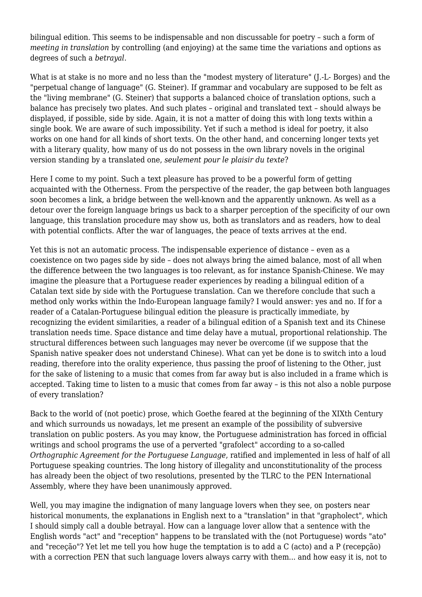bilingual edition. This seems to be indispensable and non discussable for poetry – such a form of *meeting in translation* by controlling (and enjoying) at the same time the variations and options as degrees of such a *betrayal*.

What is at stake is no more and no less than the "modest mystery of literature" (J.-L- Borges) and the "perpetual change of language" (G. Steiner). If grammar and vocabulary are supposed to be felt as the "living membrane" (G. Steiner) that supports a balanced choice of translation options, such a balance has precisely two plates. And such plates – original and translated text – should always be displayed, if possible, side by side. Again, it is not a matter of doing this with long texts within a single book. We are aware of such impossibility. Yet if such a method is ideal for poetry, it also works on one hand for all kinds of short texts. On the other hand, and concerning longer texts yet with a literary quality, how many of us do not possess in the own library novels in the original version standing by a translated one, *seulement pour le plaisir du texte*?

Here I come to my point. Such a text pleasure has proved to be a powerful form of getting acquainted with the Otherness. From the perspective of the reader, the gap between both languages soon becomes a link, a bridge between the well-known and the apparently unknown. As well as a detour over the foreign language brings us back to a sharper perception of the specificity of our own language, this translation procedure may show us, both as translators and as readers, how to deal with potential conflicts. After the war of languages, the peace of texts arrives at the end.

Yet this is not an automatic process. The indispensable experience of distance – even as a coexistence on two pages side by side – does not always bring the aimed balance, most of all when the difference between the two languages is too relevant, as for instance Spanish-Chinese. We may imagine the pleasure that a Portuguese reader experiences by reading a bilingual edition of a Catalan text side by side with the Portuguese translation. Can we therefore conclude that such a method only works within the Indo-European language family? I would answer: yes and no. If for a reader of a Catalan-Portuguese bilingual edition the pleasure is practically immediate, by recognizing the evident similarities, a reader of a bilingual edition of a Spanish text and its Chinese translation needs time. Space distance and time delay have a mutual, proportional relationship. The structural differences between such languages may never be overcome (if we suppose that the Spanish native speaker does not understand Chinese). What can yet be done is to switch into a loud reading, therefore into the orality experience, thus passing the proof of listening to the Other, just for the sake of listening to a music that comes from far away but is also included in a frame which is accepted. Taking time to listen to a music that comes from far away – is this not also a noble purpose of every translation?

Back to the world of (not poetic) prose, which Goethe feared at the beginning of the XIXth Century and which surrounds us nowadays, let me present an example of the possibility of subversive translation on public posters. As you may know, the Portuguese administration has forced in official writings and school programs the use of a perverted "grafolect" according to a so-called *Orthographic Agreement for the Portuguese Language*, ratified and implemented in less of half of all Portuguese speaking countries. The long history of illegality and unconstitutionality of the process has already been the object of two resolutions, presented by the TLRC to the PEN International Assembly, where they have been unanimously approved.

Well, you may imagine the indignation of many language lovers when they see, on posters near historical monuments, the explanations in English next to a "translation" in that "grapholect", which I should simply call a double betrayal. How can a language lover allow that a sentence with the English words "act" and "reception" happens to be translated with the (not Portuguese) words "ato" and "receção"? Yet let me tell you how huge the temptation is to add a C (acto) and a P (recepção) with a correction PEN that such language lovers always carry with them... and how easy it is, not to